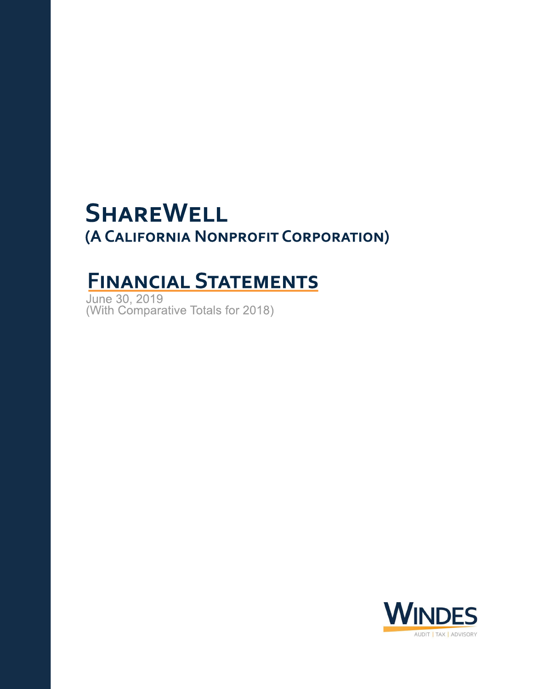# **SHAREWELL (A CALIFORNIA NONPROFIT CORPORATION)**

# **FINANCIAL STATEMENTS**

June30,2019 (With Comparative Totals for 2018)

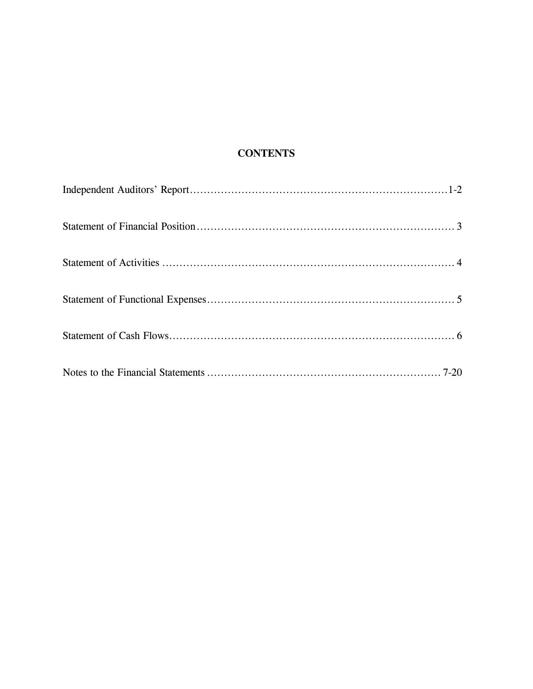# **CONTENTS**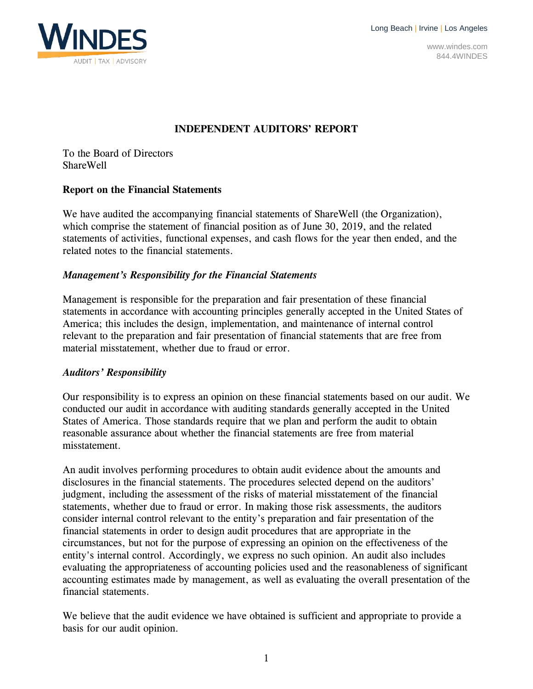Long Beach | Irvine | Los Angeles



www.windes.com 844.4WINDES

# **INDEPENDENT AUDITORS' REPORT**

To the Board of Directors ShareWell

# **Report on the Financial Statements**

We have audited the accompanying financial statements of ShareWell (the Organization), which comprise the statement of financial position as of June 30, 2019, and the related statements of activities, functional expenses, and cash flows for the year then ended, and the related notes to the financial statements.

# *Management's Responsibility for the Financial Statements*

Management is responsible for the preparation and fair presentation of these financial statements in accordance with accounting principles generally accepted in the United States of America; this includes the design, implementation, and maintenance of internal control relevant to the preparation and fair presentation of financial statements that are free from material misstatement, whether due to fraud or error.

# *Auditors' Responsibility*

Our responsibility is to express an opinion on these financial statements based on our audit. We conducted our audit in accordance with auditing standards generally accepted in the United States of America. Those standards require that we plan and perform the audit to obtain reasonable assurance about whether the financial statements are free from material misstatement.

An audit involves performing procedures to obtain audit evidence about the amounts and disclosures in the financial statements. The procedures selected depend on the auditors' judgment, including the assessment of the risks of material misstatement of the financial statements, whether due to fraud or error. In making those risk assessments, the auditors consider internal control relevant to the entity's preparation and fair presentation of the financial statements in order to design audit procedures that are appropriate in the circumstances, but not for the purpose of expressing an opinion on the effectiveness of the entity's internal control. Accordingly, we express no such opinion. An audit also includes evaluating the appropriateness of accounting policies used and the reasonableness of significant accounting estimates made by management, as well as evaluating the overall presentation of the financial statements.

We believe that the audit evidence we have obtained is sufficient and appropriate to provide a basis for our audit opinion.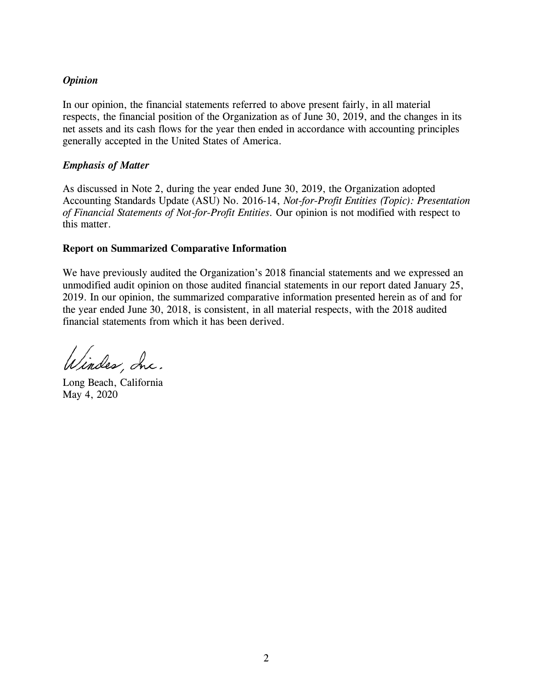# *Opinion*

In our opinion, the financial statements referred to above present fairly, in all material respects, the financial position of the Organization as of June 30, 2019, and the changes in its net assets and its cash flows for the year then ended in accordance with accounting principles generally accepted in the United States of America.

#### *Emphasis of Matter*

As discussed in Note 2, during the year ended June 30, 2019, the Organization adopted Accounting Standards Update (ASU) No. 2016-14, *Not-for-Profit Entities (Topic): Presentation of Financial Statements of Not-for-Profit Entities.* Our opinion is not modified with respect to this matter.

# **Report on Summarized Comparative Information**

We have previously audited the Organization's 2018 financial statements and we expressed an unmodified audit opinion on those audited financial statements in our report dated January 25, 2019. In our opinion, the summarized comparative information presented herein as of and for the year ended June 30, 2018, is consistent, in all material respects, with the 2018 audited financial statements from which it has been derived.

Windes, Inc.

Long Beach, California May 4, 2020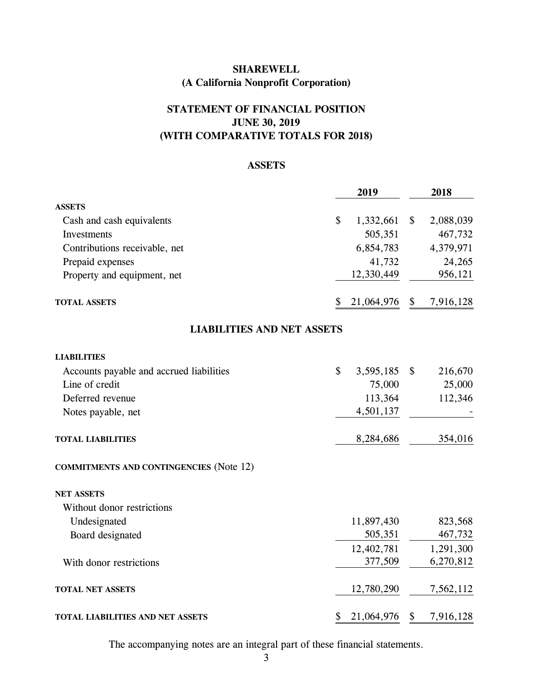# **STATEMENT OF FINANCIAL POSITION JUNE 30, 2019 (WITH COMPARATIVE TOTALS FOR 2018)**

#### **ASSETS**

|                                                | 2019             |              | 2018      |
|------------------------------------------------|------------------|--------------|-----------|
| <b>ASSETS</b>                                  |                  |              |           |
| Cash and cash equivalents                      | \$<br>1,332,661  | $\mathbb{S}$ | 2,088,039 |
| Investments                                    | 505,351          |              | 467,732   |
| Contributions receivable, net                  | 6,854,783        |              | 4,379,971 |
| Prepaid expenses                               | 41,732           |              | 24,265    |
| Property and equipment, net                    | 12,330,449       |              | 956,121   |
| <b>TOTAL ASSETS</b>                            | \$<br>21,064,976 | \$           | 7,916,128 |
| <b>LIABILITIES AND NET ASSETS</b>              |                  |              |           |
| <b>LIABILITIES</b>                             |                  |              |           |
| Accounts payable and accrued liabilities       | \$<br>3,595,185  | \$           | 216,670   |
| Line of credit                                 | 75,000           |              | 25,000    |
| Deferred revenue                               | 113,364          |              | 112,346   |
| Notes payable, net                             | 4,501,137        |              |           |
| <b>TOTAL LIABILITIES</b>                       | 8,284,686        |              | 354,016   |
| <b>COMMITMENTS AND CONTINGENCIES (Note 12)</b> |                  |              |           |
| <b>NET ASSETS</b>                              |                  |              |           |
| Without donor restrictions                     |                  |              |           |
| Undesignated                                   | 11,897,430       |              | 823,568   |
| Board designated                               | 505,351          |              | 467,732   |
|                                                | 12,402,781       |              | 1,291,300 |
| With donor restrictions                        | 377,509          |              | 6,270,812 |
| <b>TOTAL NET ASSETS</b>                        | 12,780,290       |              | 7,562,112 |
| <b>TOTAL LIABILITIES AND NET ASSETS</b>        | \$<br>21,064,976 | \$           | 7,916,128 |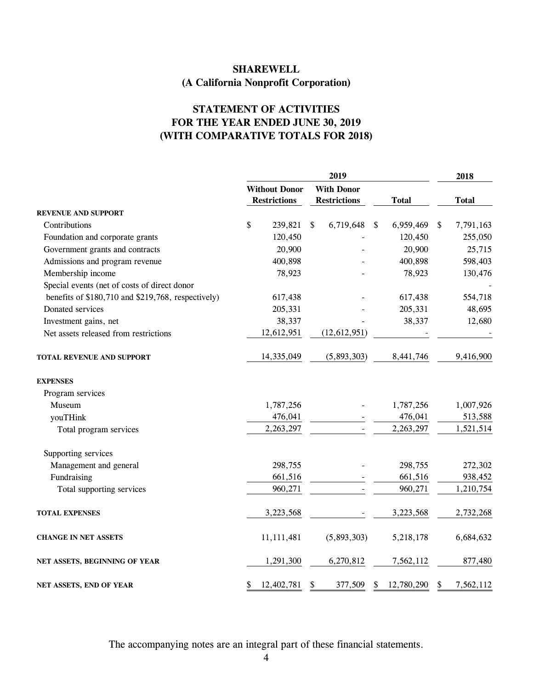# **STATEMENT OF ACTIVITIES FOR THE YEAR ENDED JUNE 30, 2019 (WITH COMPARATIVE TOTALS FOR 2018)**

|                                                    | 2019                                        |    |                                          |               |              | 2018                      |              |
|----------------------------------------------------|---------------------------------------------|----|------------------------------------------|---------------|--------------|---------------------------|--------------|
|                                                    | <b>Without Donor</b><br><b>Restrictions</b> |    | <b>With Donor</b><br><b>Restrictions</b> |               | <b>Total</b> |                           | <b>Total</b> |
| <b>REVENUE AND SUPPORT</b>                         |                                             |    |                                          |               |              |                           |              |
| Contributions                                      | \$<br>239,821                               | \$ | 6,719,648                                | $\mathcal{S}$ | 6,959,469    | $\boldsymbol{\mathsf{S}}$ | 7,791,163    |
| Foundation and corporate grants                    | 120,450                                     |    |                                          |               | 120,450      |                           | 255,050      |
| Government grants and contracts                    | 20,900                                      |    |                                          |               | 20,900       |                           | 25,715       |
| Admissions and program revenue                     | 400,898                                     |    |                                          |               | 400,898      |                           | 598,403      |
| Membership income                                  | 78,923                                      |    |                                          |               | 78,923       |                           | 130,476      |
| Special events (net of costs of direct donor       |                                             |    |                                          |               |              |                           |              |
| benefits of \$180,710 and \$219,768, respectively) | 617,438                                     |    |                                          |               | 617,438      |                           | 554,718      |
| Donated services                                   | 205,331                                     |    |                                          |               | 205,331      |                           | 48,695       |
| Investment gains, net                              | 38,337                                      |    |                                          |               | 38,337       |                           | 12,680       |
| Net assets released from restrictions              | 12,612,951                                  |    | (12, 612, 951)                           |               |              |                           |              |
| <b>TOTAL REVENUE AND SUPPORT</b>                   | 14,335,049                                  |    | (5,893,303)                              |               | 8,441,746    |                           | 9,416,900    |
| <b>EXPENSES</b>                                    |                                             |    |                                          |               |              |                           |              |
| Program services                                   |                                             |    |                                          |               |              |                           |              |
| Museum                                             | 1,787,256                                   |    |                                          |               | 1,787,256    |                           | 1,007,926    |
| youTHink                                           | 476,041                                     |    |                                          |               | 476,041      |                           | 513,588      |
| Total program services                             | 2,263,297                                   |    |                                          |               | 2,263,297    |                           | 1,521,514    |
| Supporting services                                |                                             |    |                                          |               |              |                           |              |
| Management and general                             | 298,755                                     |    |                                          |               | 298,755      |                           | 272,302      |
| Fundraising                                        | 661,516                                     |    |                                          |               | 661,516      |                           | 938,452      |
| Total supporting services                          | 960,271                                     |    |                                          |               | 960,271      |                           | 1,210,754    |
| <b>TOTAL EXPENSES</b>                              | 3,223,568                                   |    |                                          |               | 3,223,568    |                           | 2,732,268    |
| <b>CHANGE IN NET ASSETS</b>                        | 11,111,481                                  |    | (5,893,303)                              |               | 5,218,178    |                           | 6,684,632    |
| NET ASSETS, BEGINNING OF YEAR                      | 1,291,300                                   |    | 6,270,812                                |               | 7,562,112    |                           | 877,480      |
| NET ASSETS, END OF YEAR                            | \$<br>12,402,781                            | \$ | 377,509                                  | \$            | 12,780,290   | \$                        | 7,562,112    |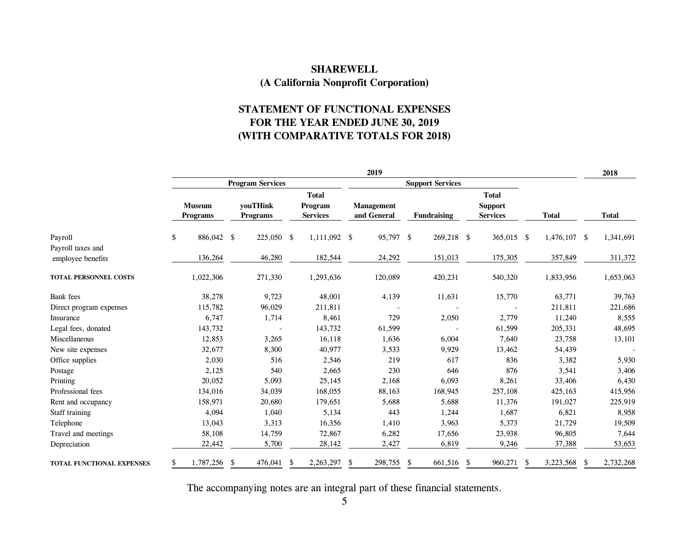# **STATEMENT OF FUNCTIONAL EXPENSES FOR THE YEAR ENDED JUNE 30, 2019 (WITH COMPARATIVE TOTALS FOR 2018)**

|                                  |                                  |                                    |                            | 2019                             |                    |                                   |                 | 2018            |  |
|----------------------------------|----------------------------------|------------------------------------|----------------------------|----------------------------------|--------------------|-----------------------------------|-----------------|-----------------|--|
|                                  | <b>Program Services</b>          |                                    | <b>Support Services</b>    |                                  |                    |                                   |                 |                 |  |
|                                  |                                  |                                    | <b>Total</b>               |                                  |                    | <b>Total</b>                      |                 |                 |  |
|                                  | <b>Museum</b><br><b>Programs</b> | <b>youTHink</b><br><b>Programs</b> | Program<br><b>Services</b> | <b>Management</b><br>and General | <b>Fundraising</b> | <b>Support</b><br><b>Services</b> | <b>Total</b>    | <b>Total</b>    |  |
| Payroll                          | 886,042<br>\$                    | \$<br>225,050 \$                   | 1,111,092 \$               | 95,797 \$                        | 269,218 \$         | 365,015 \$                        | 1,476,107       | \$<br>1,341,691 |  |
| Payroll taxes and                |                                  |                                    |                            |                                  |                    |                                   |                 |                 |  |
| employee benefits                | 136,264                          | 46,280                             | 182,544                    | 24,292                           | 151,013            | 175,305                           | 357,849         | 311,372         |  |
| TOTAL PERSONNEL COSTS            | 1,022,306                        | 271,330                            | 1,293,636                  | 120,089                          | 420,231            | 540,320                           | 1,833,956       | 1,653,063       |  |
| Bank fees                        | 38,278                           | 9,723                              | 48,001                     | 4,139                            | 11,631             | 15,770                            | 63,771          | 39,763          |  |
| Direct program expenses          | 115,782                          | 96,029                             | 211,811                    |                                  |                    |                                   | 211,811         | 221,686         |  |
| Insurance                        | 6,747                            | 1,714                              | 8,461                      | 729                              | 2,050              | 2,779                             | 11,240          | 8,555           |  |
| Legal fees, donated              | 143,732                          |                                    | 143,732                    | 61,599                           |                    | 61,599                            | 205,331         | 48,695          |  |
| Miscellaneous                    | 12,853                           | 3,265                              | 16,118                     | 1,636                            | 6,004              | 7,640                             | 23,758          | 13,101          |  |
| New site expenses                | 32,677                           | 8,300                              | 40,977                     | 3,533                            | 9,929              | 13,462                            | 54,439          |                 |  |
| Office supplies                  | 2,030                            | 516                                | 2,546                      | 219                              | 617                | 836                               | 3,382           | 5,930           |  |
| Postage                          | 2,125                            | 540                                | 2,665                      | 230                              | 646                | 876                               | 3,541           | 3,406           |  |
| Printing                         | 20,052                           | 5,093                              | 25,145                     | 2,168                            | 6,093              | 8,261                             | 33,406          | 6,430           |  |
| Professional fees                | 134,016                          | 34,039                             | 168,055                    | 88,163                           | 168,945            | 257,108                           | 425,163         | 415,956         |  |
| Rent and occupancy               | 158,971                          | 20,680                             | 179,651                    | 5,688                            | 5,688              | 11,376                            | 191,027         | 225,919         |  |
| Staff training                   | 4,094                            | 1,040                              | 5,134                      | 443                              | 1,244              | 1,687                             | 6,821           | 8,958           |  |
| Telephone                        | 13,043                           | 3,313                              | 16,356                     | 1,410                            | 3,963              | 5,373                             | 21,729          | 19,509          |  |
| Travel and meetings              | 58,108                           | 14,759                             | 72,867                     | 6,282                            | 17,656             | 23,938                            | 96,805          | 7,644           |  |
| Depreciation                     | 22,442                           | 5,700                              | 28,142                     | 2,427                            | 6,819              | 9,246                             | 37,388          | 53,653          |  |
| <b>TOTAL FUNCTIONAL EXPENSES</b> | 1,787,256<br>\$                  | 476,041 \$<br>-S                   | 2, 263, 297                | 298,755 \$<br>\$                 | 661,516            | 960,271<br>- \$                   | 3,223,568<br>-S | 2,732,268<br>-S |  |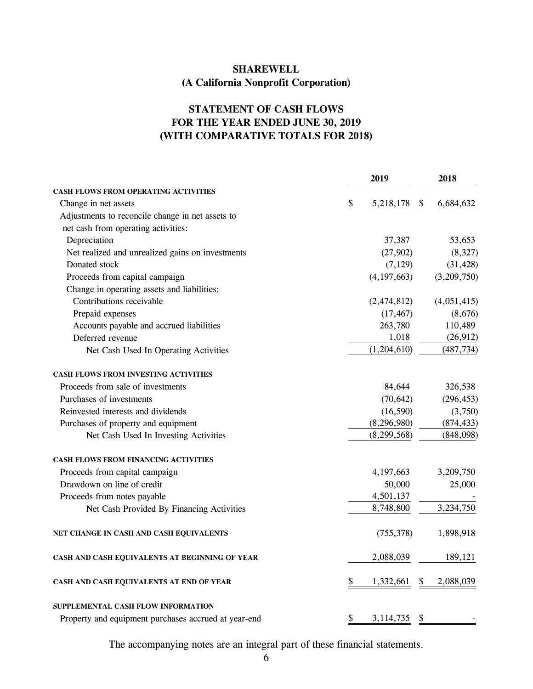# **STATEMENT OF CASH FLOWS FOR THE YEAR ENDED JUNE 30, 2019 (WITH COMPARATIVE TOTALS FOR 2018)**

|                                                      | 2019            | 2018            |  |
|------------------------------------------------------|-----------------|-----------------|--|
| <b>CASH FLOWS FROM OPERATING ACTIVITIES</b>          |                 |                 |  |
| Change in net assets                                 | \$<br>5,218,178 | 6,684,632<br>\$ |  |
| Adjustments to reconcile change in net assets to     |                 |                 |  |
| net cash from operating activities:                  |                 |                 |  |
| Depreciation                                         | 37,387          | 53,653          |  |
| Net realized and unrealized gains on investments     | (27,902)        | (8,327)         |  |
| Donated stock                                        | (7, 129)        | (31, 428)       |  |
| Proceeds from capital campaign                       | (4, 197, 663)   | (3,209,750)     |  |
| Change in operating assets and liabilities:          |                 |                 |  |
| Contributions receivable                             | (2,474,812)     | (4,051,415)     |  |
| Prepaid expenses                                     | (17, 467)       | (8,676)         |  |
| Accounts payable and accrued liabilities             | 263,780         | 110,489         |  |
| Deferred revenue                                     | 1,018           | (26, 912)       |  |
| Net Cash Used In Operating Activities                | (1,204,610)     | (487, 734)      |  |
| <b>CASH FLOWS FROM INVESTING ACTIVITIES</b>          |                 |                 |  |
| Proceeds from sale of investments                    | 84,644          | 326,538         |  |
| Purchases of investments                             | (70, 642)       | (296, 453)      |  |
| Reinvested interests and dividends                   | (16,590)        | (3,750)         |  |
| Purchases of property and equipment                  | (8,296,980)     | (874, 433)      |  |
| Net Cash Used In Investing Activities                | (8,299,568)     | (848,098)       |  |
| <b>CASH FLOWS FROM FINANCING ACTIVITIES</b>          |                 |                 |  |
| Proceeds from capital campaign                       | 4,197,663       | 3,209,750       |  |
| Drawdown on line of credit                           | 50,000          | 25,000          |  |
| Proceeds from notes payable                          | 4,501,137       |                 |  |
| Net Cash Provided By Financing Activities            | 8,748,800       | 3,234,750       |  |
| NET CHANGE IN CASH AND CASH EQUIVALENTS              | (755, 378)      | 1,898,918       |  |
| CASH AND CASH EQUIVALENTS AT BEGINNING OF YEAR       | 2,088,039       | 189,121         |  |
| CASH AND CASH EQUIVALENTS AT END OF YEAR             | \$<br>1,332,661 | 2,088,039<br>S. |  |
| SUPPLEMENTAL CASH FLOW INFORMATION                   |                 |                 |  |
| Property and equipment purchases accrued at year-end | \$<br>3,114,735 | \$              |  |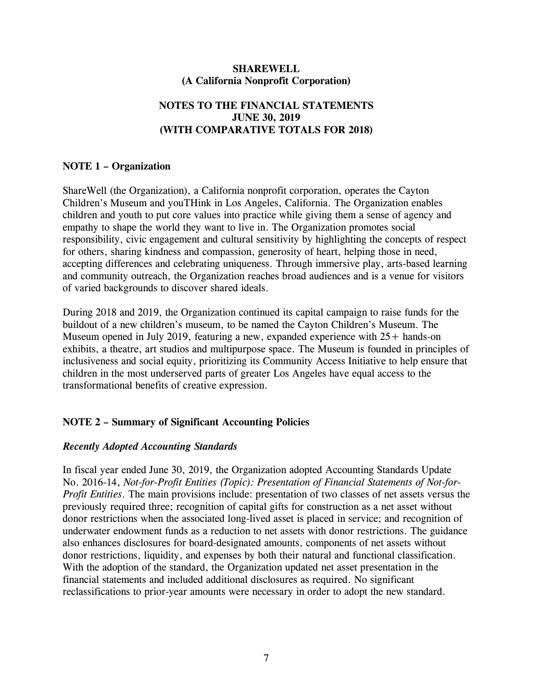# **NOTES TO THE FINANCIAL STATEMENTS JUNE 30, 2019 (WITH COMPARATIVE TOTALS FOR 2018)**

# **NOTE 1 – Organization**

ShareWell (the Organization), a California nonprofit corporation, operates the Cayton Children's Museum and youTHink in Los Angeles, California. The Organization enables children and youth to put core values into practice while giving them a sense of agency and empathy to shape the world they want to live in. The Organization promotes social responsibility, civic engagement and cultural sensitivity by highlighting the concepts of respect for others, sharing kindness and compassion, generosity of heart, helping those in need, accepting differences and celebrating uniqueness. Through immersive play, arts-based learning and community outreach, the Organization reaches broad audiences and is a venue for visitors of varied backgrounds to discover shared ideals.

During 2018 and 2019, the Organization continued its capital campaign to raise funds for the buildout of a new children's museum, to be named the Cayton Children's Museum. The Museum opened in July 2019, featuring a new, expanded experience with  $25 +$  hands-on exhibits, a theatre, art studios and multipurpose space. The Museum is founded in principles of inclusiveness and social equity, prioritizing its Community Access Initiative to help ensure that children in the most underserved parts of greater Los Angeles have equal access to the transformational benefits of creative expression.

# **NOTE 2 – Summary of Significant Accounting Policies**

#### *Recently Adopted Accounting Standards*

In fiscal year ended June 30, 2019, the Organization adopted Accounting Standards Update No. 2016-14, *Not-for-Profit Entities (Topic): Presentation of Financial Statements of Not-for-Profit Entities*. The main provisions include: presentation of two classes of net assets versus the previously required three; recognition of capital gifts for construction as a net asset without donor restrictions when the associated long-lived asset is placed in service; and recognition of underwater endowment funds as a reduction to net assets with donor restrictions. The guidance also enhances disclosures for board-designated amounts, components of net assets without donor restrictions, liquidity, and expenses by both their natural and functional classification. With the adoption of the standard, the Organization updated net asset presentation in the financial statements and included additional disclosures as required. No significant reclassifications to prior-year amounts were necessary in order to adopt the new standard.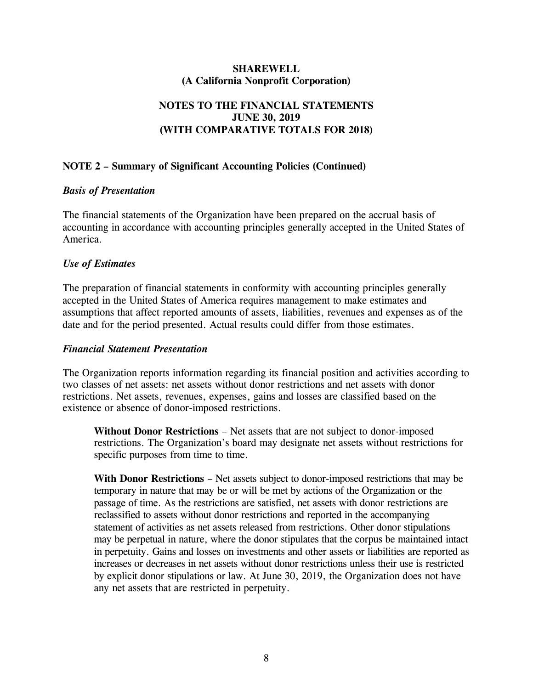# **NOTES TO THE FINANCIAL STATEMENTS JUNE 30, 2019 (WITH COMPARATIVE TOTALS FOR 2018)**

# **NOTE 2 – Summary of Significant Accounting Policies (Continued)**

#### *Basis of Presentation*

The financial statements of the Organization have been prepared on the accrual basis of accounting in accordance with accounting principles generally accepted in the United States of America.

#### *Use of Estimates*

The preparation of financial statements in conformity with accounting principles generally accepted in the United States of America requires management to make estimates and assumptions that affect reported amounts of assets, liabilities, revenues and expenses as of the date and for the period presented. Actual results could differ from those estimates.

#### *Financial Statement Presentation*

The Organization reports information regarding its financial position and activities according to two classes of net assets: net assets without donor restrictions and net assets with donor restrictions. Net assets, revenues, expenses, gains and losses are classified based on the existence or absence of donor-imposed restrictions.

**Without Donor Restrictions** – Net assets that are not subject to donor-imposed restrictions. The Organization's board may designate net assets without restrictions for specific purposes from time to time.

**With Donor Restrictions** *–* Net assets subject to donor-imposed restrictions that may be temporary in nature that may be or will be met by actions of the Organization or the passage of time. As the restrictions are satisfied, net assets with donor restrictions are reclassified to assets without donor restrictions and reported in the accompanying statement of activities as net assets released from restrictions. Other donor stipulations may be perpetual in nature, where the donor stipulates that the corpus be maintained intact in perpetuity. Gains and losses on investments and other assets or liabilities are reported as increases or decreases in net assets without donor restrictions unless their use is restricted by explicit donor stipulations or law. At June 30, 2019, the Organization does not have any net assets that are restricted in perpetuity.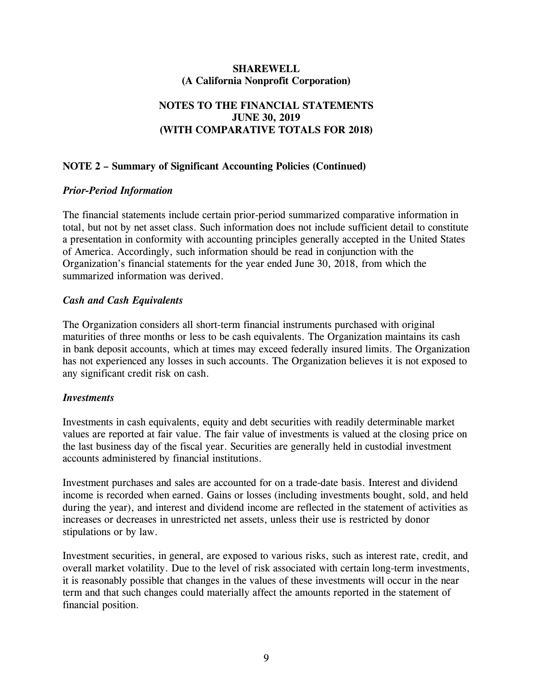# **NOTES TO THE FINANCIAL STATEMENTS JUNE 30, 2019 (WITH COMPARATIVE TOTALS FOR 2018)**

# **NOTE 2 – Summary of Significant Accounting Policies (Continued)**

# *Prior-Period Information*

The financial statements include certain prior-period summarized comparative information in total, but not by net asset class. Such information does not include sufficient detail to constitute a presentation in conformity with accounting principles generally accepted in the United States of America. Accordingly, such information should be read in conjunction with the Organization's financial statements for the year ended June 30, 2018, from which the summarized information was derived.

# *Cash and Cash Equivalents*

The Organization considers all short-term financial instruments purchased with original maturities of three months or less to be cash equivalents. The Organization maintains its cash in bank deposit accounts, which at times may exceed federally insured limits. The Organization has not experienced any losses in such accounts. The Organization believes it is not exposed to any significant credit risk on cash.

#### *Investments*

Investments in cash equivalents, equity and debt securities with readily determinable market values are reported at fair value. The fair value of investments is valued at the closing price on the last business day of the fiscal year. Securities are generally held in custodial investment accounts administered by financial institutions.

Investment purchases and sales are accounted for on a trade-date basis. Interest and dividend income is recorded when earned. Gains or losses (including investments bought, sold, and held during the year), and interest and dividend income are reflected in the statement of activities as increases or decreases in unrestricted net assets, unless their use is restricted by donor stipulations or by law.

Investment securities, in general, are exposed to various risks, such as interest rate, credit, and overall market volatility. Due to the level of risk associated with certain long-term investments, it is reasonably possible that changes in the values of these investments will occur in the near term and that such changes could materially affect the amounts reported in the statement of financial position.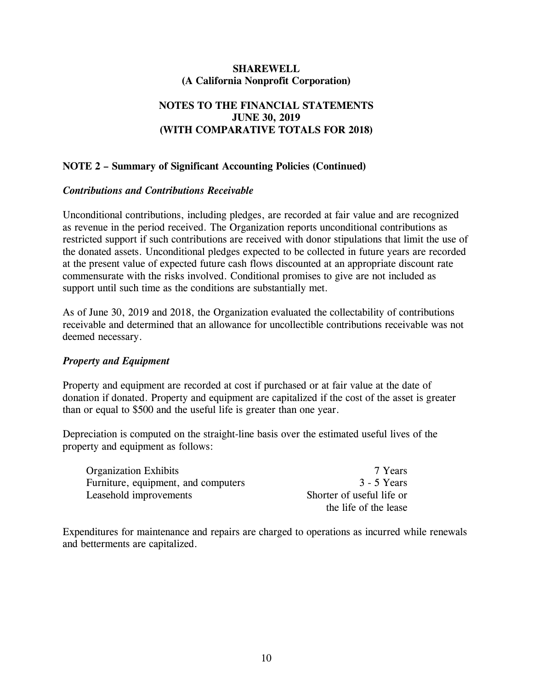# **NOTES TO THE FINANCIAL STATEMENTS JUNE 30, 2019 (WITH COMPARATIVE TOTALS FOR 2018)**

# **NOTE 2 – Summary of Significant Accounting Policies (Continued)**

#### *Contributions and Contributions Receivable*

Unconditional contributions, including pledges, are recorded at fair value and are recognized as revenue in the period received. The Organization reports unconditional contributions as restricted support if such contributions are received with donor stipulations that limit the use of the donated assets. Unconditional pledges expected to be collected in future years are recorded at the present value of expected future cash flows discounted at an appropriate discount rate commensurate with the risks involved. Conditional promises to give are not included as support until such time as the conditions are substantially met.

As of June 30, 2019 and 2018, the Organization evaluated the collectability of contributions receivable and determined that an allowance for uncollectible contributions receivable was not deemed necessary.

#### *Property and Equipment*

Property and equipment are recorded at cost if purchased or at fair value at the date of donation if donated. Property and equipment are capitalized if the cost of the asset is greater than or equal to \$500 and the useful life is greater than one year.

Depreciation is computed on the straight-line basis over the estimated useful lives of the property and equipment as follows:

| <b>Organization Exhibits</b>        | 7 Years                   |
|-------------------------------------|---------------------------|
| Furniture, equipment, and computers | $3 - 5$ Years             |
| Leasehold improvements              | Shorter of useful life or |
|                                     | the life of the lease     |

Expenditures for maintenance and repairs are charged to operations as incurred while renewals and betterments are capitalized.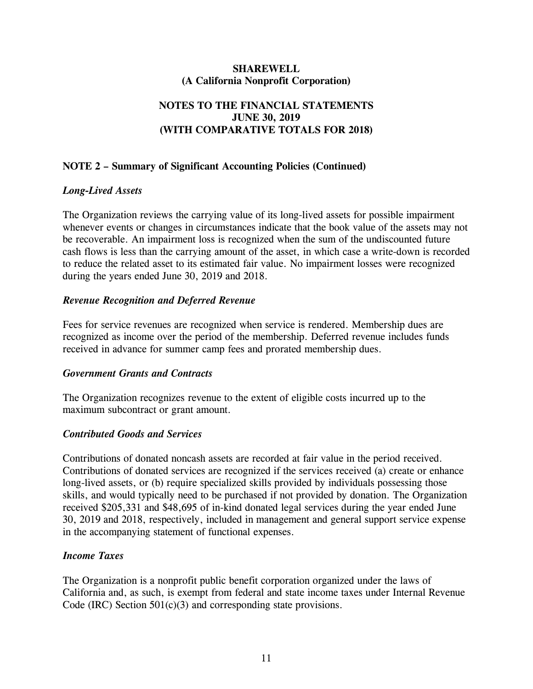# **NOTES TO THE FINANCIAL STATEMENTS JUNE 30, 2019 (WITH COMPARATIVE TOTALS FOR 2018)**

# **NOTE 2 – Summary of Significant Accounting Policies (Continued)**

#### *Long-Lived Assets*

The Organization reviews the carrying value of its long-lived assets for possible impairment whenever events or changes in circumstances indicate that the book value of the assets may not be recoverable. An impairment loss is recognized when the sum of the undiscounted future cash flows is less than the carrying amount of the asset, in which case a write-down is recorded to reduce the related asset to its estimated fair value. No impairment losses were recognized during the years ended June 30, 2019 and 2018.

#### *Revenue Recognition and Deferred Revenue*

Fees for service revenues are recognized when service is rendered. Membership dues are recognized as income over the period of the membership. Deferred revenue includes funds received in advance for summer camp fees and prorated membership dues.

#### *Government Grants and Contracts*

The Organization recognizes revenue to the extent of eligible costs incurred up to the maximum subcontract or grant amount.

#### *Contributed Goods and Services*

Contributions of donated noncash assets are recorded at fair value in the period received. Contributions of donated services are recognized if the services received (a) create or enhance long-lived assets, or (b) require specialized skills provided by individuals possessing those skills, and would typically need to be purchased if not provided by donation. The Organization received \$205,331 and \$48,695 of in-kind donated legal services during the year ended June 30, 2019 and 2018, respectively, included in management and general support service expense in the accompanying statement of functional expenses.

#### *Income Taxes*

The Organization is a nonprofit public benefit corporation organized under the laws of California and, as such, is exempt from federal and state income taxes under Internal Revenue Code (IRC) Section 501(c)(3) and corresponding state provisions.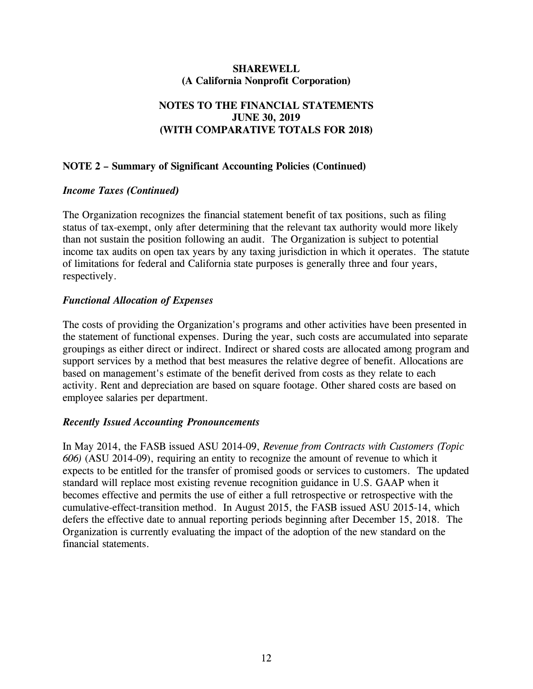# **NOTES TO THE FINANCIAL STATEMENTS JUNE 30, 2019 (WITH COMPARATIVE TOTALS FOR 2018)**

# **NOTE 2 – Summary of Significant Accounting Policies (Continued)**

#### *Income Taxes (Continued)*

The Organization recognizes the financial statement benefit of tax positions, such as filing status of tax-exempt, only after determining that the relevant tax authority would more likely than not sustain the position following an audit. The Organization is subject to potential income tax audits on open tax years by any taxing jurisdiction in which it operates. The statute of limitations for federal and California state purposes is generally three and four years, respectively.

#### *Functional Allocation of Expenses*

The costs of providing the Organization's programs and other activities have been presented in the statement of functional expenses. During the year, such costs are accumulated into separate groupings as either direct or indirect. Indirect or shared costs are allocated among program and support services by a method that best measures the relative degree of benefit. Allocations are based on management's estimate of the benefit derived from costs as they relate to each activity. Rent and depreciation are based on square footage. Other shared costs are based on employee salaries per department.

#### *Recently Issued Accounting Pronouncements*

In May 2014, the FASB issued ASU 2014-09, *Revenue from Contracts with Customers (Topic 606)* (ASU 2014-09), requiring an entity to recognize the amount of revenue to which it expects to be entitled for the transfer of promised goods or services to customers. The updated standard will replace most existing revenue recognition guidance in U.S. GAAP when it becomes effective and permits the use of either a full retrospective or retrospective with the cumulative-effect-transition method. In August 2015, the FASB issued ASU 2015-14, which defers the effective date to annual reporting periods beginning after December 15, 2018. The Organization is currently evaluating the impact of the adoption of the new standard on the financial statements.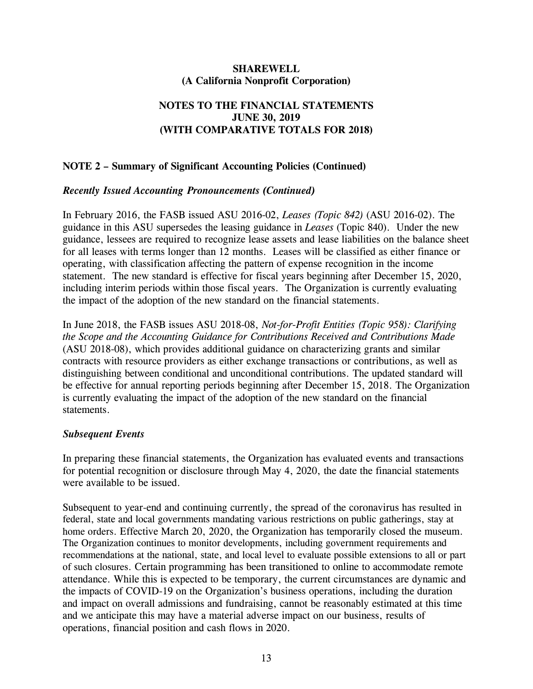# **NOTES TO THE FINANCIAL STATEMENTS JUNE 30, 2019 (WITH COMPARATIVE TOTALS FOR 2018)**

# **NOTE 2 – Summary of Significant Accounting Policies (Continued)**

#### *Recently Issued Accounting Pronouncements (Continued)*

In February 2016, the FASB issued ASU 2016-02, *Leases (Topic 842)* (ASU 2016-02). The guidance in this ASU supersedes the leasing guidance in *Leases* (Topic 840). Under the new guidance, lessees are required to recognize lease assets and lease liabilities on the balance sheet for all leases with terms longer than 12 months. Leases will be classified as either finance or operating, with classification affecting the pattern of expense recognition in the income statement. The new standard is effective for fiscal years beginning after December 15, 2020, including interim periods within those fiscal years. The Organization is currently evaluating the impact of the adoption of the new standard on the financial statements.

In June 2018, the FASB issues ASU 2018-08, *Not-for-Profit Entities (Topic 958): Clarifying the Scope and the Accounting Guidance for Contributions Received and Contributions Made* (ASU 2018-08), which provides additional guidance on characterizing grants and similar contracts with resource providers as either exchange transactions or contributions, as well as distinguishing between conditional and unconditional contributions. The updated standard will be effective for annual reporting periods beginning after December 15, 2018. The Organization is currently evaluating the impact of the adoption of the new standard on the financial statements.

#### *Subsequent Events*

In preparing these financial statements, the Organization has evaluated events and transactions for potential recognition or disclosure through May 4, 2020, the date the financial statements were available to be issued.

Subsequent to year-end and continuing currently, the spread of the coronavirus has resulted in federal, state and local governments mandating various restrictions on public gatherings, stay at home orders. Effective March 20, 2020, the Organization has temporarily closed the museum. The Organization continues to monitor developments, including government requirements and recommendations at the national, state, and local level to evaluate possible extensions to all or part of such closures. Certain programming has been transitioned to online to accommodate remote attendance. While this is expected to be temporary, the current circumstances are dynamic and the impacts of COVID-19 on the Organization's business operations, including the duration and impact on overall admissions and fundraising, cannot be reasonably estimated at this time and we anticipate this may have a material adverse impact on our business, results of operations, financial position and cash flows in 2020.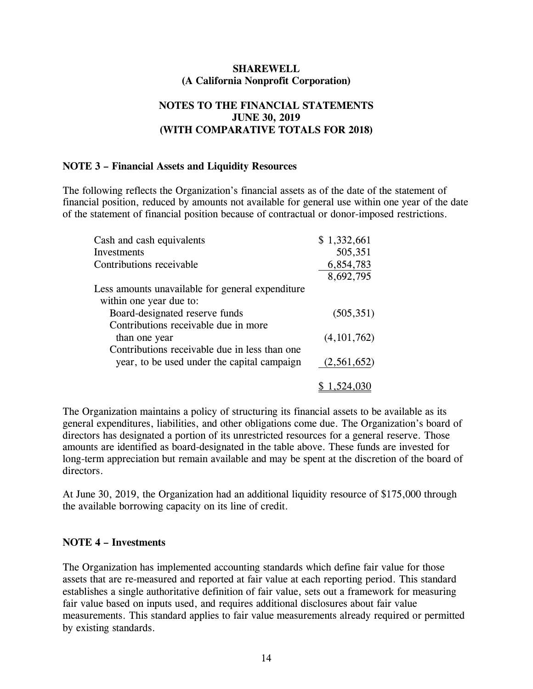# **NOTES TO THE FINANCIAL STATEMENTS JUNE 30, 2019 (WITH COMPARATIVE TOTALS FOR 2018)**

#### **NOTE 3 – Financial Assets and Liquidity Resources**

The following reflects the Organization's financial assets as of the date of the statement of financial position, reduced by amounts not available for general use within one year of the date of the statement of financial position because of contractual or donor-imposed restrictions.

| Cash and cash equivalents                        | \$1,332,661   |
|--------------------------------------------------|---------------|
| Investments                                      | 505,351       |
| Contributions receivable                         | 6,854,783     |
|                                                  | 8,692,795     |
| Less amounts unavailable for general expenditure |               |
| within one year due to:                          |               |
| Board-designated reserve funds                   | (505, 351)    |
| Contributions receivable due in more             |               |
| than one year                                    | (4, 101, 762) |
| Contributions receivable due in less than one    |               |
| year, to be used under the capital campaign      | (2,561,652)   |
|                                                  | \$1,524,030   |

The Organization maintains a policy of structuring its financial assets to be available as its general expenditures, liabilities, and other obligations come due. The Organization's board of directors has designated a portion of its unrestricted resources for a general reserve. Those amounts are identified as board-designated in the table above. These funds are invested for long-term appreciation but remain available and may be spent at the discretion of the board of directors.

At June 30, 2019, the Organization had an additional liquidity resource of \$175,000 through the available borrowing capacity on its line of credit.

#### **NOTE 4 – Investments**

The Organization has implemented accounting standards which define fair value for those assets that are re-measured and reported at fair value at each reporting period. This standard establishes a single authoritative definition of fair value, sets out a framework for measuring fair value based on inputs used, and requires additional disclosures about fair value measurements. This standard applies to fair value measurements already required or permitted by existing standards.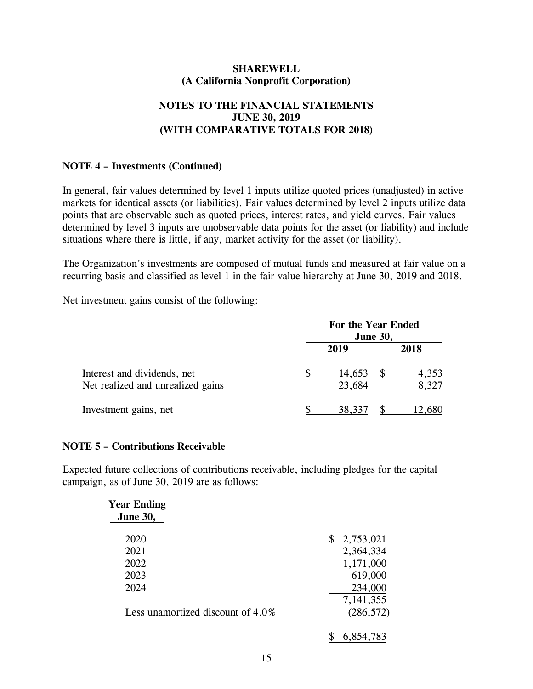# **NOTES TO THE FINANCIAL STATEMENTS JUNE 30, 2019 (WITH COMPARATIVE TOTALS FOR 2018)**

#### **NOTE 4 – Investments (Continued)**

In general, fair values determined by level 1 inputs utilize quoted prices (unadjusted) in active markets for identical assets (or liabilities). Fair values determined by level 2 inputs utilize data points that are observable such as quoted prices, interest rates, and yield curves. Fair values determined by level 3 inputs are unobservable data points for the asset (or liability) and include situations where there is little, if any, market activity for the asset (or liability).

The Organization's investments are composed of mutual funds and measured at fair value on a recurring basis and classified as level 1 in the fair value hierarchy at June 30, 2019 and 2018.

Net investment gains consist of the following:

|                                   | For the Year Ended<br><b>June 30,</b> |        |      |        |  |
|-----------------------------------|---------------------------------------|--------|------|--------|--|
|                                   |                                       | 2019   |      | 2018   |  |
| Interest and dividends, net       | \$                                    | 14,653 | - \$ | 4,353  |  |
| Net realized and unrealized gains |                                       | 23,684 |      | 8,327  |  |
| Investment gains, net             |                                       | 38,337 |      | 12,680 |  |

#### **NOTE 5 – Contributions Receivable**

Expected future collections of contributions receivable, including pledges for the capital campaign, as of June 30, 2019 are as follows:

| <b>Year Ending</b>                   |                 |
|--------------------------------------|-----------------|
| <b>June 30,</b>                      |                 |
| 2020                                 | \$<br>2,753,021 |
| 2021                                 | 2,364,334       |
| 2022                                 | 1,171,000       |
| 2023                                 | 619,000         |
| 2024                                 | 234,000         |
|                                      | 7, 141, 355     |
| Less unamortized discount of $4.0\%$ | (286, 572)      |
|                                      | 6,854,783       |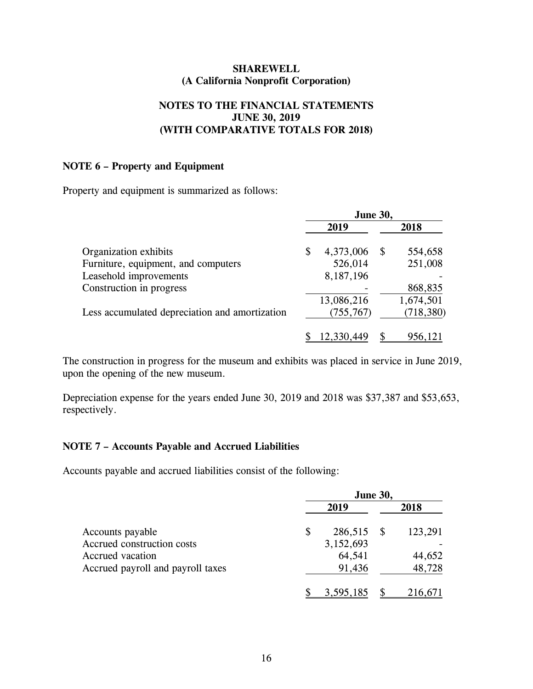# **NOTES TO THE FINANCIAL STATEMENTS JUNE 30, 2019 (WITH COMPARATIVE TOTALS FOR 2018)**

#### **NOTE 6 – Property and Equipment**

Property and equipment is summarized as follows:

|                                                | <b>June 30,</b> |            |   |            |
|------------------------------------------------|-----------------|------------|---|------------|
|                                                |                 | 2019       |   | 2018       |
| Organization exhibits                          | \$              | 4,373,006  | S | 554,658    |
| Furniture, equipment, and computers            |                 | 526,014    |   | 251,008    |
| Leasehold improvements                         |                 | 8,187,196  |   |            |
| Construction in progress                       |                 |            |   | 868,835    |
|                                                |                 | 13,086,216 |   | 1,674,501  |
| Less accumulated depreciation and amortization |                 | (755, 767) |   | (718, 380) |
|                                                |                 | 12,330,449 |   | 956,121    |

The construction in progress for the museum and exhibits was placed in service in June 2019, upon the opening of the new museum.

Depreciation expense for the years ended June 30, 2019 and 2018 was \$37,387 and \$53,653, respectively.

#### **NOTE 7 – Accounts Payable and Accrued Liabilities**

Accounts payable and accrued liabilities consist of the following:

|                                   | <b>June 30,</b> |           |               |         |  |
|-----------------------------------|-----------------|-----------|---------------|---------|--|
|                                   |                 | 2019      |               | 2018    |  |
| Accounts payable                  | \$              | 286,515   | $\mathcal{S}$ | 123,291 |  |
| Accrued construction costs        |                 | 3,152,693 |               |         |  |
| Accrued vacation                  |                 | 64,541    |               | 44,652  |  |
| Accrued payroll and payroll taxes |                 | 91,436    |               | 48,728  |  |
|                                   |                 | 3,595,185 |               | 216,671 |  |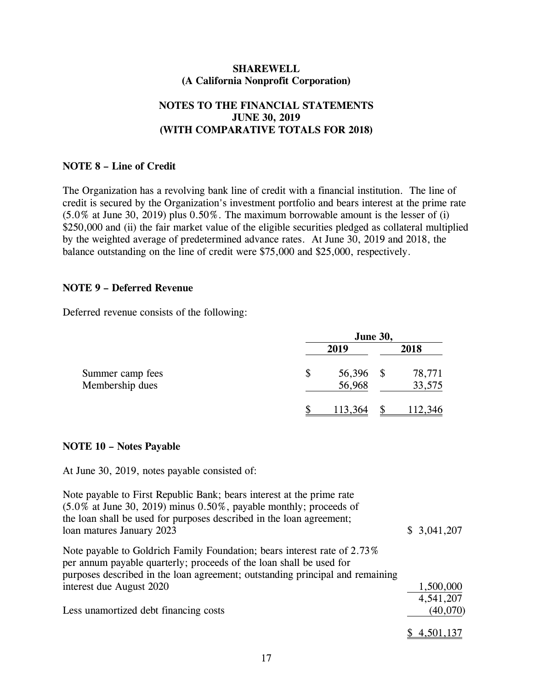# **NOTES TO THE FINANCIAL STATEMENTS JUNE 30, 2019 (WITH COMPARATIVE TOTALS FOR 2018)**

#### **NOTE 8 – Line of Credit**

The Organization has a revolving bank line of credit with a financial institution. The line of credit is secured by the Organization's investment portfolio and bears interest at the prime rate (5.0% at June 30, 2019) plus 0.50%. The maximum borrowable amount is the lesser of (i) \$250,000 and (ii) the fair market value of the eligible securities pledged as collateral multiplied by the weighted average of predetermined advance rates. At June 30, 2019 and 2018, the balance outstanding on the line of credit were \$75,000 and \$25,000, respectively.

#### **NOTE 9 – Deferred Revenue**

Deferred revenue consists of the following:

|                                     | <b>June 30,</b> |                  |  |                  |  |
|-------------------------------------|-----------------|------------------|--|------------------|--|
|                                     |                 | 2019             |  | 2018             |  |
| Summer camp fees<br>Membership dues | \$              | 56,396<br>56,968 |  | 78,771<br>33,575 |  |
|                                     |                 | 113,364          |  | 112,346          |  |

#### **NOTE 10 – Notes Payable**

At June 30, 2019, notes payable consisted of:

| Note payable to First Republic Bank; bears interest at the prime rate<br>$(5.0\%$ at June 30, 2019) minus 0.50%, payable monthly; proceeds of<br>the loan shall be used for purposes described in the loan agreement;<br>loan matures January 2023 | \$3,041,207                        |
|----------------------------------------------------------------------------------------------------------------------------------------------------------------------------------------------------------------------------------------------------|------------------------------------|
| Note payable to Goldrich Family Foundation; bears interest rate of 2.73%<br>per annum payable quarterly; proceeds of the loan shall be used for<br>purposes described in the loan agreement; outstanding principal and remaining                   |                                    |
| interest due August 2020<br>Less unamortized debt financing costs                                                                                                                                                                                  | 1,500,000<br>4,541,207<br>(40,070) |
|                                                                                                                                                                                                                                                    | 4,501,137                          |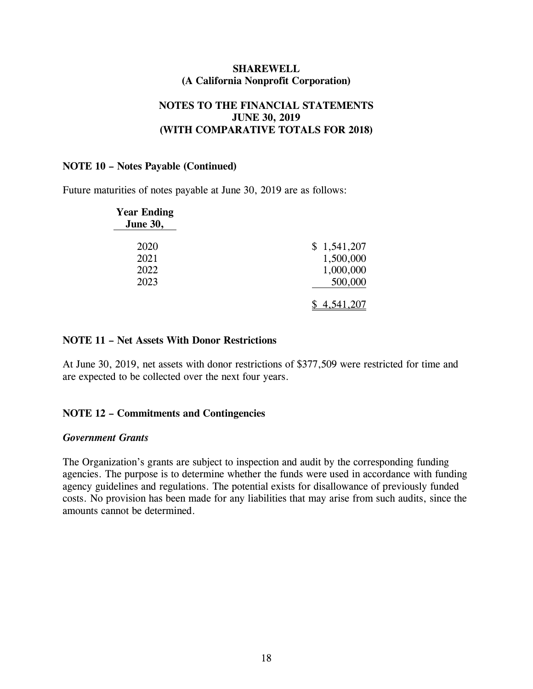# **NOTES TO THE FINANCIAL STATEMENTS JUNE 30, 2019 (WITH COMPARATIVE TOTALS FOR 2018)**

#### **NOTE 10 – Notes Payable (Continued)**

Future maturities of notes payable at June 30, 2019 are as follows:

| <b>Year Ending</b><br><b>June 30,</b> |             |
|---------------------------------------|-------------|
| 2020                                  | \$1,541,207 |
| 2021                                  | 1,500,000   |
| 2022                                  | 1,000,000   |
| 2023                                  | 500,000     |
|                                       |             |
|                                       | 4,541,207   |

#### **NOTE 11 – Net Assets With Donor Restrictions**

At June 30, 2019, net assets with donor restrictions of \$377,509 were restricted for time and are expected to be collected over the next four years.

#### **NOTE 12 – Commitments and Contingencies**

#### *Government Grants*

The Organization's grants are subject to inspection and audit by the corresponding funding agencies. The purpose is to determine whether the funds were used in accordance with funding agency guidelines and regulations. The potential exists for disallowance of previously funded costs. No provision has been made for any liabilities that may arise from such audits, since the amounts cannot be determined.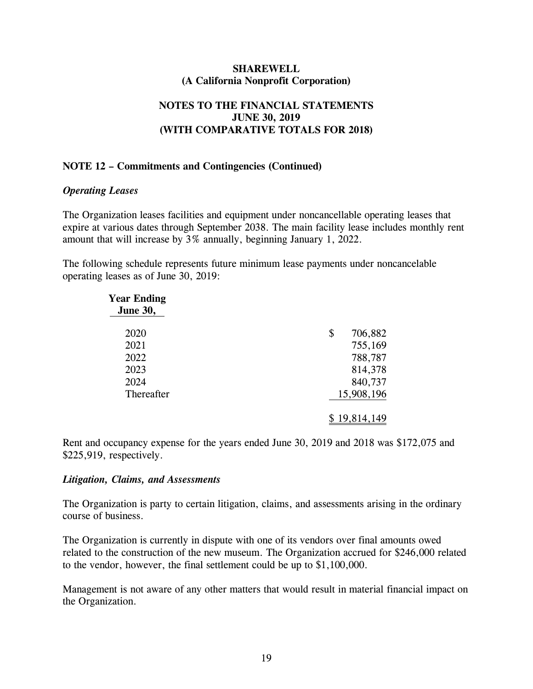# **NOTES TO THE FINANCIAL STATEMENTS JUNE 30, 2019 (WITH COMPARATIVE TOTALS FOR 2018)**

# **NOTE 12 – Commitments and Contingencies (Continued)**

#### *Operating Leases*

The Organization leases facilities and equipment under noncancellable operating leases that expire at various dates through September 2038. The main facility lease includes monthly rent amount that will increase by 3% annually, beginning January 1, 2022.

The following schedule represents future minimum lease payments under noncancelable operating leases as of June 30, 2019:

| <b>Year Ending</b><br><b>June 30,</b> |               |
|---------------------------------------|---------------|
| 2020                                  | \$<br>706,882 |
| 2021                                  | 755,169       |
| 2022                                  | 788,787       |
| 2023                                  | 814,378       |
| 2024                                  | 840,737       |
| Thereafter                            | 15,908,196    |
|                                       | \$19,814,149  |

Rent and occupancy expense for the years ended June 30, 2019 and 2018 was \$172,075 and \$225,919, respectively.

#### *Litigation, Claims, and Assessments*

The Organization is party to certain litigation, claims, and assessments arising in the ordinary course of business.

The Organization is currently in dispute with one of its vendors over final amounts owed related to the construction of the new museum. The Organization accrued for \$246,000 related to the vendor, however, the final settlement could be up to \$1,100,000.

Management is not aware of any other matters that would result in material financial impact on the Organization.